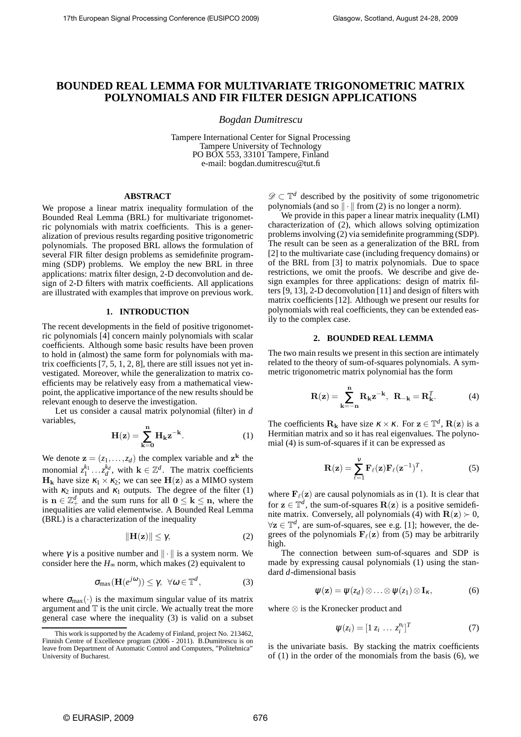# **BOUNDED REAL LEMMA FOR MULTIVARIATE TRIGONOMETRIC MATRIX POLYNOMIALS AND FIR FILTER DESIGN APPLICATIONS**

*Bogdan Dumitrescu*

Tampere International Center for Signal Processing Tampere University of Technology PO BOX 553, 33101 Tampere, Finland e-mail: bogdan.dumitrescu@tut.fi

### **ABSTRACT**

We propose a linear matrix inequality formulation of the Bounded Real Lemma (BRL) for multivariate trigonometric polynomials with matrix coefficients. This is a generalization of previous results regarding positive trigonometric polynomials. The proposed BRL allows the formulation of several FIR filter design problems as semidefinite programming (SDP) problems. We employ the new BRL in three applications: matrix filter design, 2-D deconvolution and design of 2-D filters with matrix coefficients. All applications are illustrated with examples that improve on previous work.

# **1. INTRODUCTION**

The recent developments in the field of positive trigonometric polynomials [4] concern mainly polynomials with scalar coefficients. Although some basic results have been proven to hold in (almost) the same form for polynomials with matrix coefficients [7, 5, 1, 2, 8], there are still issues not yet investigated. Moreover, while the generalization to matrix coefficients may be relatively easy from a mathematical viewpoint, the applicative importance of the new results should be relevant enough to deserve the investigation.

Let us consider a causal matrix polynomial (filter) in *d* variables,

$$
\mathbf{H}(\mathbf{z}) = \sum_{\mathbf{k}=\mathbf{0}}^n \mathbf{H}_{\mathbf{k}} \mathbf{z}^{-\mathbf{k}}.
$$
 (1)

We denote  $\mathbf{z} = (z_1, \dots, z_d)$  the complex variable and  $\mathbf{z}^{\mathbf{k}}$  the monomial  $z_1^{k_1} \dots z_d^{k_d}$ , with  $\mathbf{k} \in \mathbb{Z}^d$ . The matrix coefficients  $H_k$  have size  $\kappa_1 \times \kappa_2$ ; we can see  $H(z)$  as a MIMO system with  $\kappa_2$  inputs and  $\kappa_1$  outputs. The degree of the filter (1) is  $\mathbf{n} \in \mathbb{Z}_+^d$  and the sum runs for all  $\mathbf{0} \leq \mathbf{k} \leq \mathbf{n}$ , where the inequalities are valid elementwise. A Bounded Real Lemma (BRL) is a characterization of the inequality

$$
\|\mathbf{H}(\mathbf{z})\| \leq \gamma,\tag{2}
$$

where  $\gamma$  is a positive number and  $\|\cdot\|$  is a system norm. We consider here the  $H_{\infty}$  norm, which makes (2) equivalent to

$$
\sigma_{\max}(\mathbf{H}(e^{j\omega})) \leq \gamma, \ \forall \omega \in \mathbb{T}^d, \tag{3}
$$

where  $\sigma_{\text{max}}(\cdot)$  is the maximum singular value of its matrix argument and  $T$  is the unit circle. We actually treat the more general case where the inequality (3) is valid on a subset

<sup>D</sup> <sup>⊂</sup> <sup>T</sup> *<sup>d</sup>* described by the positivity of some trigonometric polynomials (and so  $\|\cdot\|$  from (2) is no longer a norm).

We provide in this paper a linear matrix inequality (LMI) characterization of (2), which allows solving optimization problems involving (2) via semidefinite programming (SDP). The result can be seen as a generalization of the BRL from [2] to the multivariate case (including frequency domains) or of the BRL from [3] to matrix polynomials. Due to space restrictions, we omit the proofs. We describe and give design examples for three applications: design of matrix filters [9, 13], 2-D deconvolution [11] and design of filters with matrix coefficients [12]. Although we present our results for polynomials with real coefficients, they can be extended easily to the complex case.

## **2. BOUNDED REAL LEMMA**

The two main results we present in this section are intimately related to the theory of sum-of-squares polynomials. A symmetric trigonometric matrix polynomial has the form

$$
\mathbf{R}(\mathbf{z}) = \sum_{\mathbf{k}=-\mathbf{n}}^{\mathbf{n}} \mathbf{R}_{\mathbf{k}} \mathbf{z}^{-\mathbf{k}}, \ \ \mathbf{R}_{-\mathbf{k}} = \mathbf{R}_{\mathbf{k}}^T. \tag{4}
$$

The coefficients  $\mathbf{R}_k$  have size  $\kappa \times \kappa$ . For  $\mathbf{z} \in \mathbb{T}^d$ ,  $\mathbf{R}(\mathbf{z})$  is a Hermitian matrix and so it has real eigenvalues. The polynomial (4) is sum-of-squares if it can be expressed as

$$
\mathbf{R}(\mathbf{z}) = \sum_{\ell=1}^{V} \mathbf{F}_{\ell}(\mathbf{z}) \mathbf{F}_{\ell}(\mathbf{z}^{-1})^{T}, \qquad (5)
$$

where  $\mathbf{F}_{\ell}(\mathbf{z})$  are causal polynomials as in (1). It is clear that for  $z \in \mathbb{T}^d$ , the sum-of-squares  $\mathbf{R}(z)$  is a positive semidefinite matrix. Conversely, all polynomials (4) with  $\mathbf{R}(\mathbf{z}) \succ 0$ ,  $\forall z \in \mathbb{T}^d$ , are sum-of-squares, see e.g. [1]; however, the degrees of the polynomials  $\mathbf{F}_{\ell}(\mathbf{z})$  from (5) may be arbitrarily high.

The connection between sum-of-squares and SDP is made by expressing causal polynomials (1) using the standard *d*-dimensional basis

$$
\psi(\mathbf{z}) = \psi(z_d) \otimes \ldots \otimes \psi(z_1) \otimes \mathbf{I}_{\kappa}, \tag{6}
$$

where ⊗ is the Kronecker product and

$$
\psi(z_i) = [1 \ z_i \ \dots \ z_i^{n_i}]^T \tag{7}
$$

is the univariate basis. By stacking the matrix coefficients of (1) in the order of the monomials from the basis (6), we

This work is supported by the Academy of Finland, project No. 213462, Finnish Centre of Excellence program (2006 - 2011). B.Dumitrescu is on leave from Department of Automatic Control and Computers, "Politehnica" University of Bucharest.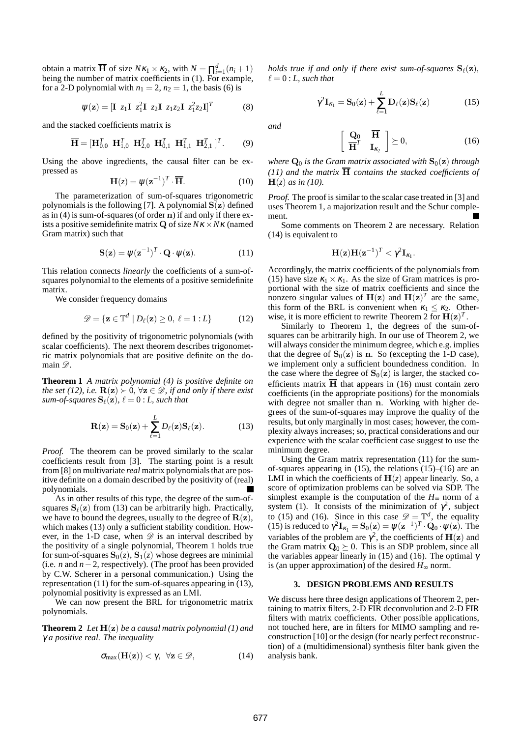obtain a matrix  $\overline{H}$  of size  $Nk_1 \times k_2$ , with  $N = \prod_{i=1}^d (n_i + 1)$ being the number of matrix coefficients in (1). For example, for a 2-D polynomial with  $n_1 = 2$ ,  $n_2 = 1$ , the basis (6) is

$$
\psi(\mathbf{z}) = [\mathbf{I} \ z_1 \mathbf{I} \ z_1^2 \mathbf{I} \ z_2 \mathbf{I} \ z_1 z_2 \mathbf{I} \ z_1^2 z_2 \mathbf{I}]^T \tag{8}
$$

and the stacked coefficients matrix is

$$
\overline{\mathbf{H}} = [\mathbf{H}_{0,0}^T \ \mathbf{H}_{1,0}^T \ \mathbf{H}_{2,0}^T \ \mathbf{H}_{0,1}^T \ \mathbf{H}_{1,1}^T \ \mathbf{H}_{2,1}^T]^T. \tag{9}
$$

Using the above ingredients, the causal filter can be expressed as

$$
\mathbf{H}(z) = \psi(\mathbf{z}^{-1})^T \cdot \overline{\mathbf{H}}.
$$
 (10)

The parameterization of sum-of-squares trigonometric polynomials is the following [7]. A polynomial  $S(z)$  defined as in (4) is sum-of-squares (of order n) if and only if there exists a positive semidefinite matrix Q of size *N*<sup>κ</sup> ×*N*<sup>κ</sup> (named Gram matrix) such that

$$
\mathbf{S}(\mathbf{z}) = \psi(\mathbf{z}^{-1})^T \cdot \mathbf{Q} \cdot \psi(\mathbf{z}). \tag{11}
$$

This relation connects *linearly* the coefficients of a sum-ofsquares polynomial to the elements of a positive semidefinite matrix.

We consider frequency domains

$$
\mathscr{D} = \{ \mathbf{z} \in \mathbb{T}^d \mid D_\ell(\mathbf{z}) \ge 0, \ \ell = 1 : L \}
$$
 (12)

defined by the positivity of trigonometric polynomials (with scalar coefficients). The next theorem describes trigonometric matrix polynomials that are positive definite on the domain  $\mathscr{D}$ .

**Theorem 1** *A matrix polynomial (4) is positive definite on the set (12), i.e.*  $\mathbf{R}(\mathbf{z}) \succ 0$ ,  $\forall \mathbf{z} \in \mathcal{D}$ *, if and only if there exist sum-of-squares*  $\mathbf{S}_{\ell}(\mathbf{z})$ ,  $\ell = 0$  : *L*, such that

$$
\mathbf{R}(\mathbf{z}) = \mathbf{S}_0(\mathbf{z}) + \sum_{\ell=1}^L D_\ell(\mathbf{z}) \mathbf{S}_\ell(\mathbf{z}).
$$
 (13)

*Proof.* The theorem can be proved similarly to the scalar coefficients result from [3]. The starting point is a result from [8] on multivariate *real* matrix polynomials that are positive definite on a domain described by the positivity of (real) polynomials.

As in other results of this type, the degree of the sum-ofsquares  $S_\ell(z)$  from (13) can be arbitrarily high. Practically, we have to bound the degrees, usually to the degree of  $R(z)$ , which makes (13) only a sufficient stability condition. However, in the 1-D case, when  $\mathscr D$  is an interval described by the positivity of a single polynomial, Theorem 1 holds true for sum-of-squares  $S_0(z)$ ,  $S_1(z)$  whose degrees are minimial (i.e. *n* and *n*−2, respectively). (The proof has been provided by C.W. Scherer in a personal communication.) Using the representation (11) for the sum-of-squares appearing in (13), polynomial positivity is expressed as an LMI.

We can now present the BRL for trigonometric matrix polynomials.

**Theorem 2** *Let* H(z) *be a causal matrix polynomial (1) and* γ *a positive real. The inequality*

$$
\sigma_{max}(\mathbf{H}(\mathbf{z})) < \gamma, \ \forall \mathbf{z} \in \mathscr{D}, \tag{14}
$$

*holds true if and only if there exist sum-of-squares*  $S_{\ell}(z)$ *,*  $\ell = 0$ : *L*, such that

$$
\gamma^2 \mathbf{I}_{\kappa_1} = \mathbf{S}_0(\mathbf{z}) + \sum_{\ell=1}^L \mathbf{D}_{\ell}(\mathbf{z}) \mathbf{S}_{\ell}(\mathbf{z}) \tag{15}
$$

*and*

$$
\left[\begin{array}{cc} \mathbf{Q}_0 & \overline{\mathbf{H}} \\ \overline{\mathbf{H}}^T & \mathbf{I}_{\kappa_2} \end{array}\right] \succeq 0, \tag{16}
$$

*where*  $\mathbf{Q}_0$  *is the Gram matrix associated with*  $\mathbf{S}_0(\mathbf{z})$  *through (11) and the matrix*  $\overline{H}$  *contains the stacked coefficients of*  $H(z)$  *as in (10).* 

*Proof.* The proof is similar to the scalar case treated in [3] and uses Theorem 1, a majorization result and the Schur complement.

Some comments on Theorem 2 are necessary. Relation (14) is equivalent to

$$
\mathbf{H}(\mathbf{z})\mathbf{H}(\mathbf{z}^{-1})^T < \gamma^2 \mathbf{I}_{\kappa_1}.
$$

Accordingly, the matrix coefficients of the polynomials from (15) have size  $\kappa_1 \times \kappa_1$ . As the size of Gram matrices is proportional with the size of matrix coefficients and since the nonzero singular values of  $H(z)$  and  $H(z)^T$  are the same, this form of the BRL is convenient when  $\kappa_1 \leq \kappa_2$ . Otherwise, it is more efficient to rewrite Theorem 2 for  $H(z)^T$ .

Similarly to Theorem 1, the degrees of the sum-ofsquares can be arbitrarily high. In our use of Theorem 2, we will always consider the minimum degree, which e.g. implies that the degree of  $S_0(z)$  is n. So (excepting the 1-D case), we implement only a sufficient boundedness condition. In the case where the degree of  $S_0(z)$  is larger, the stacked coefficients matrix  $\overline{H}$  that appears in (16) must contain zero coefficients (in the appropriate positions) for the monomials with degree not smaller than n. Working with higher degrees of the sum-of-squares may improve the quality of the results, but only marginally in most cases; however, the complexity always increases; so, practical considerations and our experience with the scalar coefficient case suggest to use the minimum degree.

Using the Gram matrix representation (11) for the sumof-squares appearing in  $(15)$ , the relations  $(15)$ – $(16)$  are an LMI in which the coefficients of  $H(z)$  appear linearly. So, a score of optimization problems can be solved via SDP. The simplest example is the computation of the  $H<sub>∞</sub>$  norm of a system (1). It consists of the minimization of  $\gamma^2$ , subject to (15) and (16). Since in this case  $\mathcal{D} = \mathbb{T}^d$ , the equality (15) is reduced to  $\gamma^2 \mathbf{I}_{\kappa_1} = \mathbf{S}_0(\mathbf{z}) = \psi(\mathbf{z}^{-1})^T \cdot \mathbf{Q}_0 \cdot \psi(\mathbf{z})$ . The variables of the problem are  $\gamma^2$ , the coefficients of  $H(z)$  and the Gram matrix  $\mathbf{Q}_0 \succeq 0$ . This is an SDP problem, since all the variables appear linearly in (15) and (16). The optimal  $\gamma$ is (an upper approximation) of the desired  $H_{\infty}$  norm.

#### **3. DESIGN PROBLEMS AND RESULTS**

We discuss here three design applications of Theorem 2, pertaining to matrix filters, 2-D FIR deconvolution and 2-D FIR filters with matrix coefficients. Other possible applications, not touched here, are in filters for MIMO sampling and reconstruction [10] or the design (for nearly perfect reconstruction) of a (multidimensional) synthesis filter bank given the analysis bank.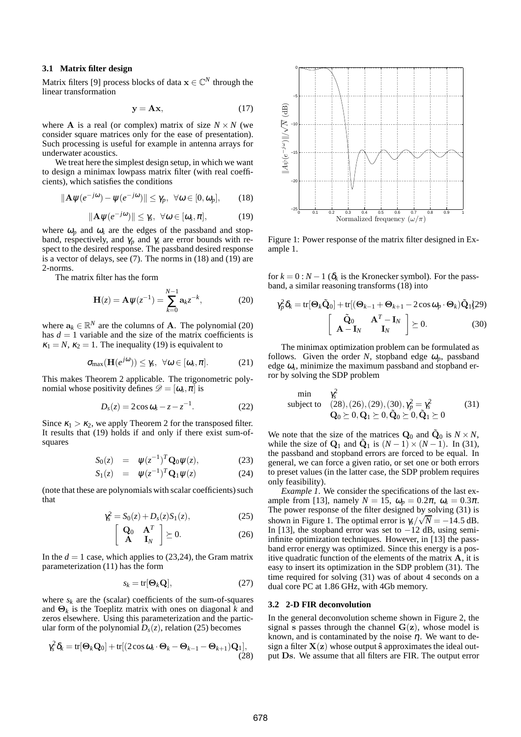## **3.1 Matrix filter design**

Matrix filters [9] process blocks of data  $\mathbf{x} \in \mathbb{C}^N$  through the linear transformation

$$
y = Ax, \tag{17}
$$

where **A** is a real (or complex) matrix of size  $N \times N$  (we consider square matrices only for the ease of presentation). Such processing is useful for example in antenna arrays for underwater acoustics.

We treat here the simplest design setup, in which we want to design a minimax lowpass matrix filter (with real coefficients), which satisfies the conditions

$$
\|\mathbf{A}\psi(e^{-j\omega})-\psi(e^{-j\omega})\|\leq \gamma_p,\ \forall \omega\in [0,\omega_p],\qquad(18)
$$

$$
\|\mathbf{A}\psi(e^{-j\omega})\| \leq \gamma_s, \ \forall \omega \in [\omega_s, \pi], \tag{19}
$$

where  $\omega_p$  and  $\omega_s$  are the edges of the passband and stopband, respectively, and  $\gamma_p$  and  $\gamma_s$  are error bounds with respect to the desired response. The passband desired response is a vector of delays, see (7). The norms in (18) and (19) are 2-norms.

The matrix filter has the form

$$
\mathbf{H}(z) = \mathbf{A}\psi(z^{-1}) = \sum_{k=0}^{N-1} \mathbf{a}_k z^{-k},
$$
 (20)

where  $\mathbf{a}_k \in \mathbb{R}^N$  are the columns of **A**. The polynomial (20) has  $d = 1$  variable and the size of the matrix coefficients is  $\kappa_1 = N$ ,  $\kappa_2 = 1$ . The inequality (19) is equivalent to

$$
\sigma_{\max}(\mathbf{H}(e^{j\omega})) \leq \gamma_s, \ \forall \omega \in [\omega_s, \pi]. \tag{21}
$$

This makes Theorem 2 applicable. The trigonometric polynomial whose positivity defines  $\mathscr{D} = [\omega_s, \pi]$  is

$$
D_s(z) = 2\cos\omega_s - z - z^{-1}.\tag{22}
$$

Since  $\kappa_1 > \kappa_2$ , we apply Theorem 2 for the transposed filter. It results that (19) holds if and only if there exist sum-ofsquares

$$
S_0(z) = \psi(z^{-1})^T \mathbf{Q}_0 \psi(z), \qquad (23)
$$

$$
S_1(z) = \psi(z^{-1})^T \mathbf{Q}_1 \psi(z) \tag{24}
$$

(note that these are polynomials with scalar coefficients) such that

$$
\gamma_s^2 = S_0(z) + D_s(z)S_1(z), \tag{25}
$$

$$
\left[\begin{array}{cc} \mathbf{Q}_0 & \mathbf{A}^T \\ \mathbf{A} & \mathbf{I}_N \end{array}\right] \succeq 0. \tag{26}
$$

In the  $d = 1$  case, which applies to  $(23,24)$ , the Gram matrix parameterization (11) has the form

$$
s_k = \text{tr}[\Theta_k \mathbf{Q}],\tag{27}
$$

where  $s_k$  are the (scalar) coefficients of the sum-of-squares and Θ*<sup>k</sup>* is the Toeplitz matrix with ones on diagonal *k* and zeros elsewhere. Using this parameterization and the particular form of the polynomial  $D_s(z)$ , relation (25) becomes

$$
\gamma_s^2 \delta_k = \text{tr}[\Theta_k \mathbf{Q}_0] + \text{tr}[(2 \cos \omega_s \cdot \Theta_k - \Theta_{k-1} - \Theta_{k+1}) \mathbf{Q}_1],
$$
\n(28)



Figure 1: Power response of the matrix filter designed in Example 1.

for  $k = 0$ :  $N - 1$  ( $\delta_k$  is the Kronecker symbol). For the passband, a similar reasoning transforms (18) into

$$
\gamma_p^2 \delta_k = \text{tr}[\Theta_k \tilde{\mathbf{Q}}_0] + \text{tr}[(\Theta_{k-1} + \Theta_{k+1} - 2\cos\omega_p \cdot \Theta_k)\tilde{\mathbf{Q}}_1] \text{(29)}
$$

$$
\begin{bmatrix} \tilde{\mathbf{Q}}_0 & \mathbf{A}^T - \mathbf{I}_N \\ \mathbf{A} - \mathbf{I}_N & \mathbf{I}_N \end{bmatrix} \succeq 0. \qquad (30)
$$

The minimax optimization problem can be formulated as follows. Given the order *N*, stopband edge  $\omega_p$ , passband edge <sup>ω</sup>*<sup>s</sup>* , minimize the maximum passband and stopband error by solving the SDP problem

$$
\begin{array}{ll}\n\min & \gamma_s^2 \\
\text{subject to} & (28), (26), (29), (30), \gamma_p^2 = \gamma_s^2 \\
\mathbf{Q}_0 \succeq 0, \mathbf{Q}_1 \succeq 0, \tilde{\mathbf{Q}}_0 \succeq 0, \tilde{\mathbf{Q}}_1 \succeq 0\n\end{array} \tag{31}
$$

We note that the size of the matrices  $Q_0$  and  $\tilde{Q}_0$  is  $N \times N$ , while the size of  $Q_1$  and  $\tilde{Q}_1$  is  $(N-1) \times (N-1)$ . In (31), the passband and stopband errors are forced to be equal. In general, we can force a given ratio, or set one or both errors to preset values (in the latter case, the SDP problem requires only feasibility).

*Example 1*. We consider the specifications of the last example from [13], namely  $N = 15$ ,  $\omega_p = 0.2\pi$ ,  $\omega_s = 0.3\pi$ . The power response of the filter designed by solving (31) is shown in Figure 1. The optimal error is  $\gamma_s/\sqrt{N} = -14.5$  dB. In [13], the stopband error was set to  $-12$  dB, using semiinfinite optimization techniques. However, in [13] the passband error energy was optimized. Since this energy is a positive quadratic function of the elements of the matrix  $A$ , it is easy to insert its optimization in the SDP problem (31). The time required for solving (31) was of about 4 seconds on a dual core PC at 1.86 GHz, with 4Gb memory.

#### **3.2 2-D FIR deconvolution**

In the general deconvolution scheme shown in Figure 2, the signal s passes through the channel  $G(z)$ , whose model is known, and is contaminated by the noise  $\eta$ . We want to design a filter  $X(z)$  whose output  $\hat{s}$  approximates the ideal output Ds. We assume that all filters are FIR. The output error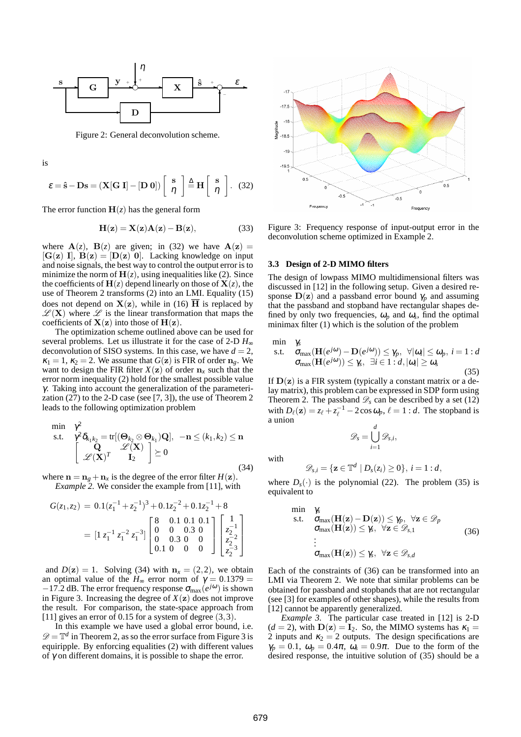

Figure 2: General deconvolution scheme.

is

$$
\varepsilon = \hat{\mathbf{s}} - \mathbf{D}\mathbf{s} = (\mathbf{X}[\mathbf{G}\ \mathbf{I}] - [\mathbf{D}\ \mathbf{0}])\begin{bmatrix} \mathbf{s} \\ \eta \end{bmatrix} \stackrel{\Delta}{=} \mathbf{H} \begin{bmatrix} \mathbf{s} \\ \eta \end{bmatrix}. \tag{32}
$$

The error function  $H(z)$  has the general form

$$
\mathbf{H}(\mathbf{z}) = \mathbf{X}(\mathbf{z})\mathbf{A}(\mathbf{z}) - \mathbf{B}(\mathbf{z}),
$$
 (33)

where  $A(z)$ ,  $B(z)$  are given; in (32) we have  $A(z)$  =  $[G(z) I], B(z) = [D(z) 0].$  Lacking knowledge on input and noise signals, the best way to control the output error is to minimize the norm of  $H(z)$ , using inequalities like (2). Since the coefficients of  $H(z)$  depend linearly on those of  $X(z)$ , the use of Theorem 2 transforms (2) into an LMI. Equality (15) does not depend on  $X(z)$ , while in (16)  $\overline{H}$  is replaced by  $\mathscr{L}(X)$  where  $\mathscr{L}$  is the linear transformation that maps the coefficients of  $X(z)$  into those of  $H(z)$ .

The optimization scheme outlined above can be used for several problems. Let us illustrate it for the case of 2-D *H*<sup>∞</sup> deconvolution of SISO systems. In this case, we have  $d = 2$ ,  $\kappa_1 = 1$ ,  $\kappa_2 = 2$ . We assume that  $G(\mathbf{z})$  is FIR of order  $\mathbf{n}_e$ . We want to design the FIR filter  $X(z)$  of order  $n_x$  such that the error norm inequality (2) hold for the smallest possible value γ. Taking into account the generalization of the parameterization  $(27)$  to the 2-D case (see [7, 3]), the use of Theorem 2 leads to the following optimization problem

$$
\begin{array}{ll}\n\min & \gamma^2 \\
\text{s.t.} & \gamma^2 \delta_{k_1 k_2} = \text{tr}[(\Theta_{k_2} \otimes \Theta_{k_1}) \mathbf{Q}], & -\mathbf{n} \le (k_1, k_2) \le \mathbf{n} \\
& \begin{bmatrix} \mathbf{Q} & \mathscr{L}(\mathbf{X}) \\ \mathscr{L}(\mathbf{X})^T & \mathbf{I}_2 \end{bmatrix} \succeq 0\n\end{array} \tag{34}
$$

where  $\mathbf{n} = \mathbf{n}_g + \mathbf{n}_x$  is the degree of the error filter  $H(\mathbf{z})$ . *Example 2.* We consider the example from [11], with

$$
G(z_1, z_2) = 0.1(z_1^{-1} + z_2^{-1})^3 + 0.1z_2^{-2} + 0.1z_2^{-1} + 8
$$
  
=  $[1 z_1^{-1} z_1^{-2} z_1^{-3}] \begin{bmatrix} 8 & 0.1 & 0.1 & 0.1 \\ 0 & 0 & 0.3 & 0 \\ 0 & 0.3 & 0 & 0 \\ 0.1 & 0 & 0 & 0 \end{bmatrix} \begin{bmatrix} 1 \\ z_2^{-1} \\ z_2^{-2} \\ z_2^{-3} \\ z_2^{-3} \end{bmatrix}$ 

and  $D(z) = 1$ . Solving (34) with  $n_x = (2,2)$ , we obtain an optimal value of the  $H_{\infty}$  error norm of  $\gamma = 0.1379$  =  $-17.2$  dB. The error frequency response  $\sigma_{\text{max}}(e^{j\omega})$  is shown in Figure 3. Increasing the degree of  $X(z)$  does not improve the result. For comparison, the state-space approach from [11] gives an error of 0.15 for a system of degree  $(3,3)$ .

In this example we have used a global error bound, i.e.  $\mathscr{D} = \mathbb{T}^d$  in Theorem 2, as so the error surface from Figure 3 is equiripple. By enforcing equalities (2) with different values of  $\gamma$  on different domains, it is possible to shape the error.



Figure 3: Frequency response of input-output error in the deconvolution scheme optimized in Example 2.

#### **3.3 Design of 2-D MIMO filters**

The design of lowpass MIMO multidimensional filters was discussed in [12] in the following setup. Given a desired response  $D(z)$  and a passband error bound  $\gamma_p$  and assuming that the passband and stopband have rectangular shapes defined by only two frequencies,  $\omega_p$  and  $\omega_s$ , find the optimal minimax filter (1) which is the solution of the problem

$$
\min \quad \gamma_s
$$
\n
$$
\text{s.t.} \quad \sigma_{\text{max}}(\mathbf{H}(e^{j\omega}) - \mathbf{D}(e^{j\omega})) \le \gamma_p, \ \forall |\omega_i| \le \omega_p, \ i = 1:d
$$
\n
$$
\sigma_{\text{max}}(\mathbf{H}(e^{j\omega})) \le \gamma_s, \ \exists i \in 1:d, |\omega_i| \ge \omega_s \tag{35}
$$

If  $D(z)$  is a FIR system (typically a constant matrix or a delay matrix), this problem can be expressed in SDP form using Theorem 2. The passband  $\mathcal{D}_s$  can be described by a set (12) with  $D_{\ell}(\mathbf{z}) = z_{\ell} + z_{\ell}^{-1} - 2\cos \omega_p$ ,  $\ell = 1 : d$ . The stopband is a union *d*

 $\mathscr{D}_s = \bigcup$ 

$$
\mathscr{D}_{s,i} = \{ \mathbf{z} \in \mathbb{T}^d \mid D_s(z_i) \geq 0 \}, \ i = 1:d,
$$

where  $D_s(\cdot)$  is the polynomial (22). The problem (35) is equivalent to

*i*=1

 $\mathscr{D}_{s,i},$ 

$$
\min \quad \gamma_s
$$
\n
$$
\mathbf{s.t.} \quad \mathbf{\sigma}_{\max}(\mathbf{H}(\mathbf{z}) - \mathbf{D}(\mathbf{z})) \leq \gamma_p, \ \forall \mathbf{z} \in \mathcal{D}_p
$$
\n
$$
\mathbf{\sigma}_{\max}(\mathbf{H}(\mathbf{z})) \leq \gamma_s, \ \forall \mathbf{z} \in \mathcal{D}_{s,1} \tag{36}
$$
\n
$$
\vdots
$$
\n
$$
\mathbf{\sigma}_{\max}(\mathbf{H}(\mathbf{z})) \leq \gamma_s, \ \forall \mathbf{z} \in \mathcal{D}_{s,d}
$$

Each of the constraints of (36) can be transformed into an LMI via Theorem 2. We note that similar problems can be obtained for passband and stopbands that are not rectangular (see [3] for examples of other shapes), while the results from [12] cannot be apparently generalized.

*Example 3.* The particular case treated in [12] is 2-D  $(d = 2)$ , with  $D(z) = I_2$ . So, the MIMO systems has  $\kappa_1 =$ 2 inputs and  $\kappa_2 = 2$  outputs. The design specifications are  $\gamma_p = 0.1$ ,  $\omega_p = 0.4\pi$ ,  $\omega_s = 0.9\pi$ . Due to the form of the desired response, the intuitive solution of (35) should be a

with